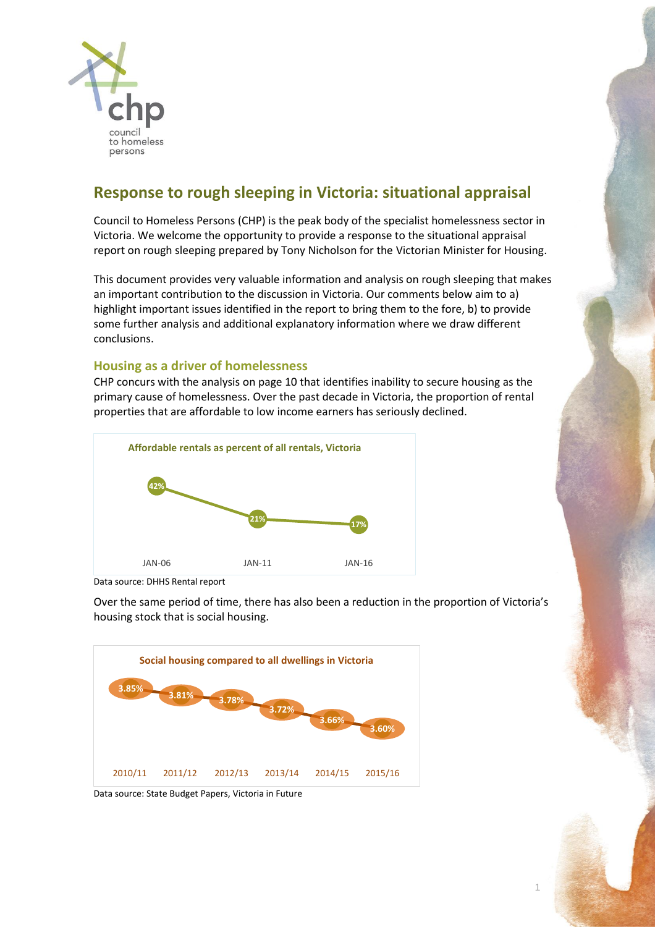

# **Response to rough sleeping in Victoria: situational appraisal**

Council to Homeless Persons (CHP) is the peak body of the specialist homelessness sector in Victoria. We welcome the opportunity to provide a response to the situational appraisal report on rough sleeping prepared by Tony Nicholson for the Victorian Minister for Housing.

This document provides very valuable information and analysis on rough sleeping that makes an important contribution to the discussion in Victoria. Our comments below aim to a) highlight important issues identified in the report to bring them to the fore, b) to provide some further analysis and additional explanatory information where we draw different conclusions.

## **Housing as a driver of homelessness**

CHP concurs with the analysis on page 10 that identifies inability to secure housing as the primary cause of homelessness. Over the past decade in Victoria, the proportion of rental properties that are affordable to low income earners has seriously declined.



Data source: DHHS Rental report

Over the same period of time, there has also been a reduction in the proportion of Victoria's housing stock that is social housing.





1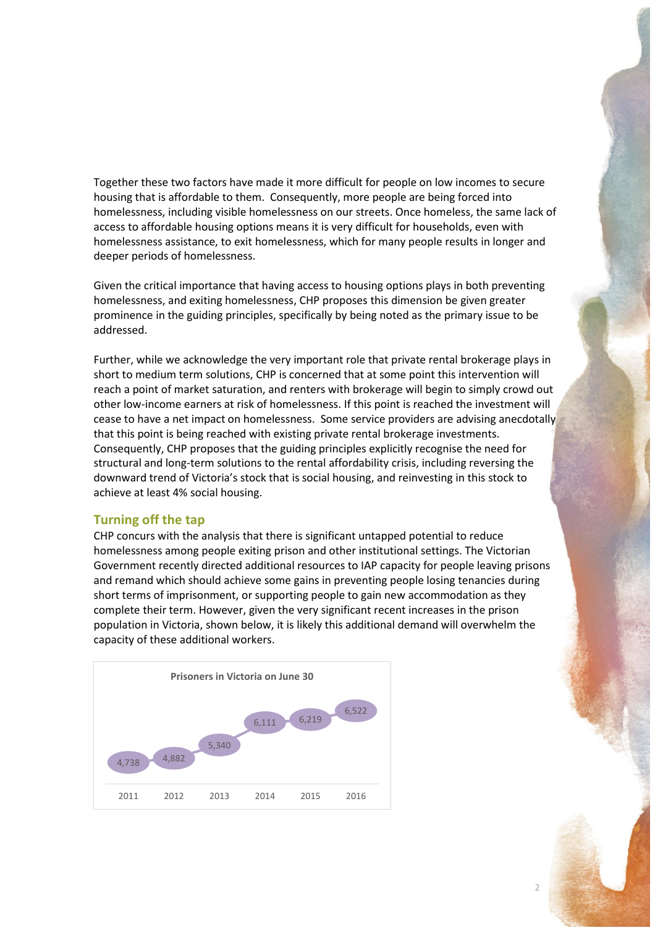Together these two factors have made it more difficult for people on low incomes to secure housing that is affordable to them. Consequently, more people are being forced into homelessness, including visible homelessness on our streets. Once homeless, the same lack of access to affordable housing options means it is very difficult for households, even with homelessness assistance, to exit homelessness, which for many people results in longer and deeper periods of homelessness.

Given the critical importance that having access to housing options plays in both preventing homelessness, and exiting homelessness, CHP proposes this dimension be given greater prominence in the guiding principles, specifically by being noted as the primary issue to be addressed.

Further, while we acknowledge the very important role that private rental brokerage plays in short to medium term solutions, CHP is concerned that at some point this intervention will reach a point of market saturation, and renters with brokerage will begin to simply crowd out other low-income earners at risk of homelessness. If this point is reached the investment will cease to have a net impact on homelessness. Some service providers are advising anecdotally that this point is being reached with existing private rental brokerage investments. Consequently, CHP proposes that the guiding principles explicitly recognise the need for structural and long-term solutions to the rental affordability crisis, including reversing the downward trend of Victoria's stock that is social housing, and reinvesting in this stock to achieve at least 4% social housing.

## **Turning off the tap**

CHP concurs with the analysis that there is significant untapped potential to reduce homelessness among people exiting prison and other institutional settings. The Victorian Government recently directed additional resources to IAP capacity for people leaving prisons and remand which should achieve some gains in preventing people losing tenancies during short terms of imprisonment, or supporting people to gain new accommodation as they complete their term. However, given the very significant recent increases in the prison population in Victoria, shown below, it is likely this additional demand will overwhelm the capacity of these additional workers.



 $\overline{\mathcal{L}}$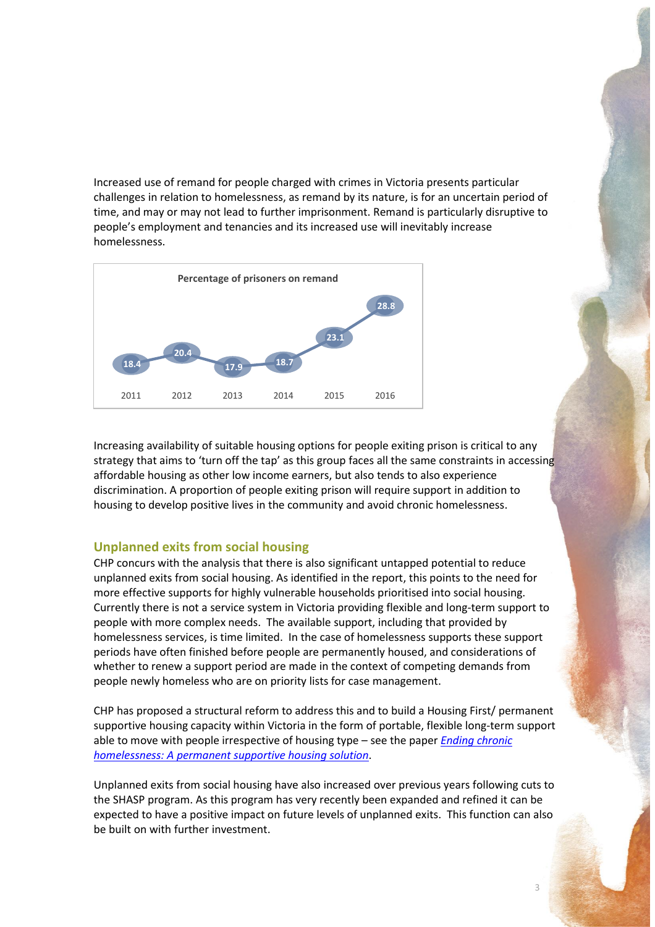Increased use of remand for people charged with crimes in Victoria presents particular challenges in relation to homelessness, as remand by its nature, is for an uncertain period of time, and may or may not lead to further imprisonment. Remand is particularly disruptive to people's employment and tenancies and its increased use will inevitably increase homelessness.



Increasing availability of suitable housing options for people exiting prison is critical to any strategy that aims to 'turn off the tap' as this group faces all the same constraints in accessing affordable housing as other low income earners, but also tends to also experience discrimination. A proportion of people exiting prison will require support in addition to housing to develop positive lives in the community and avoid chronic homelessness.

### **Unplanned exits from social housing**

CHP concurs with the analysis that there is also significant untapped potential to reduce unplanned exits from social housing. As identified in the report, this points to the need for more effective supports for highly vulnerable households prioritised into social housing. Currently there is not a service system in Victoria providing flexible and long-term support to people with more complex needs. The available support, including that provided by homelessness services, is time limited. In the case of homelessness supports these support periods have often finished before people are permanently housed, and considerations of whether to renew a support period are made in the context of competing demands from people newly homeless who are on priority lists for case management.

CHP has proposed a structural reform to address this and to build a Housing First/ permanent supportive housing capacity within Victoria in the form of portable, flexible long-term support able to move with people irrespective of housing type – see the paper *[Ending chronic](http://chp.org.au/wp-content/uploads/2017/07/170707-permanent-supportive-housing-FINAL-1.pdf)  [homelessness: A permanent supportive housing solution](http://chp.org.au/wp-content/uploads/2017/07/170707-permanent-supportive-housing-FINAL-1.pdf)*.

Unplanned exits from social housing have also increased over previous years following cuts to the SHASP program. As this program has very recently been expanded and refined it can be expected to have a positive impact on future levels of unplanned exits. This function can also be built on with further investment.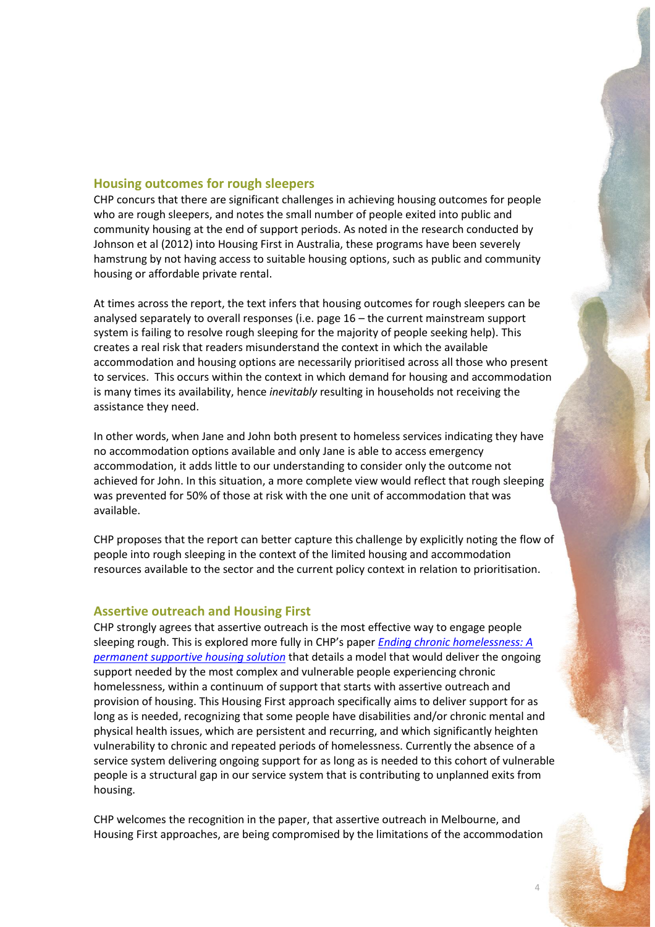# **Housing outcomes for rough sleepers**

CHP concurs that there are significant challenges in achieving housing outcomes for people who are rough sleepers, and notes the small number of people exited into public and community housing at the end of support periods. As noted in the research conducted by Johnson et al (2012) into Housing First in Australia, these programs have been severely hamstrung by not having access to suitable housing options, such as public and community housing or affordable private rental.

At times across the report, the text infers that housing outcomes for rough sleepers can be analysed separately to overall responses (i.e. page 16 – the current mainstream support system is failing to resolve rough sleeping for the majority of people seeking help). This creates a real risk that readers misunderstand the context in which the available accommodation and housing options are necessarily prioritised across all those who present to services. This occurs within the context in which demand for housing and accommodation is many times its availability, hence *inevitably* resulting in households not receiving the assistance they need.

In other words, when Jane and John both present to homeless services indicating they have no accommodation options available and only Jane is able to access emergency accommodation, it adds little to our understanding to consider only the outcome not achieved for John. In this situation, a more complete view would reflect that rough sleeping was prevented for 50% of those at risk with the one unit of accommodation that was available.

CHP proposes that the report can better capture this challenge by explicitly noting the flow of people into rough sleeping in the context of the limited housing and accommodation resources available to the sector and the current policy context in relation to prioritisation.

#### **Assertive outreach and Housing First**

CHP strongly agrees that assertive outreach is the most effective way to engage people sleeping rough. This is explored more fully in CHP's paper *[Ending chronic homelessness: A](http://chp.org.au/wp-content/uploads/2017/07/170707-permanent-supportive-housing-FINAL-1.pdf)  [permanent supportive housing solution](http://chp.org.au/wp-content/uploads/2017/07/170707-permanent-supportive-housing-FINAL-1.pdf)* that details a model that would deliver the ongoing support needed by the most complex and vulnerable people experiencing chronic homelessness, within a continuum of support that starts with assertive outreach and provision of housing. This Housing First approach specifically aims to deliver support for as long as is needed, recognizing that some people have disabilities and/or chronic mental and physical health issues, which are persistent and recurring, and which significantly heighten vulnerability to chronic and repeated periods of homelessness. Currently the absence of a service system delivering ongoing support for as long as is needed to this cohort of vulnerable people is a structural gap in our service system that is contributing to unplanned exits from housing.

CHP welcomes the recognition in the paper, that assertive outreach in Melbourne, and Housing First approaches, are being compromised by the limitations of the accommodation

4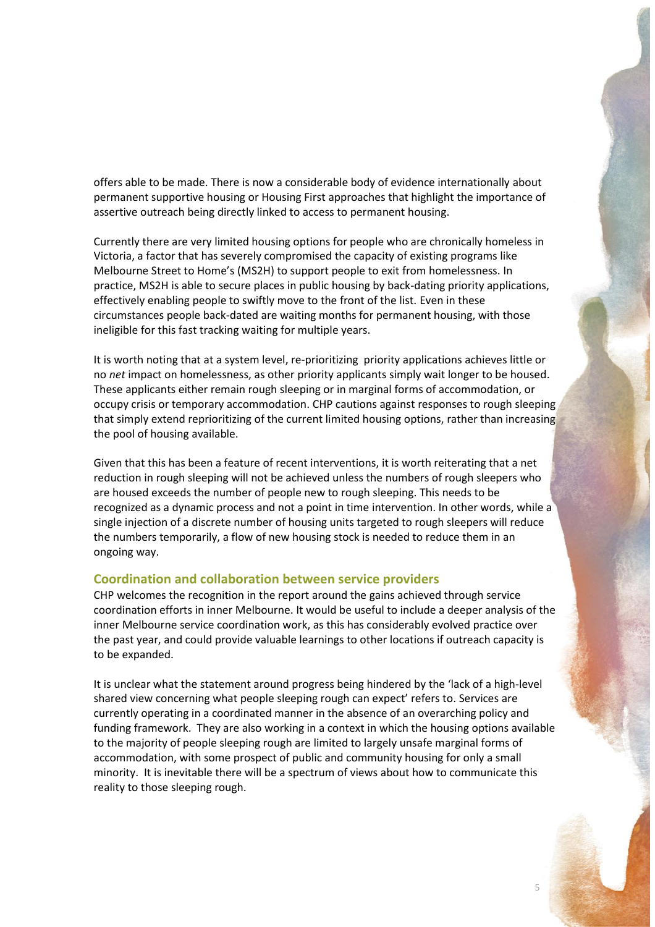offers able to be made. There is now a considerable body of evidence internationally about permanent supportive housing or Housing First approaches that highlight the importance of assertive outreach being directly linked to access to permanent housing.

Currently there are very limited housing options for people who are chronically homeless in Victoria, a factor that has severely compromised the capacity of existing programs like Melbourne Street to Home's (MS2H) to support people to exit from homelessness. In practice, MS2H is able to secure places in public housing by back-dating priority applications, effectively enabling people to swiftly move to the front of the list. Even in these circumstances people back-dated are waiting months for permanent housing, with those ineligible for this fast tracking waiting for multiple years.

It is worth noting that at a system level, re-prioritizing priority applications achieves little or no *net* impact on homelessness, as other priority applicants simply wait longer to be housed. These applicants either remain rough sleeping or in marginal forms of accommodation, or occupy crisis or temporary accommodation. CHP cautions against responses to rough sleeping that simply extend reprioritizing of the current limited housing options, rather than increasing the pool of housing available.

Given that this has been a feature of recent interventions, it is worth reiterating that a net reduction in rough sleeping will not be achieved unless the numbers of rough sleepers who are housed exceeds the number of people new to rough sleeping. This needs to be recognized as a dynamic process and not a point in time intervention. In other words, while a single injection of a discrete number of housing units targeted to rough sleepers will reduce the numbers temporarily, a flow of new housing stock is needed to reduce them in an ongoing way.

#### **Coordination and collaboration between service providers**

CHP welcomes the recognition in the report around the gains achieved through service coordination efforts in inner Melbourne. It would be useful to include a deeper analysis of the inner Melbourne service coordination work, as this has considerably evolved practice over the past year, and could provide valuable learnings to other locations if outreach capacity is to be expanded.

It is unclear what the statement around progress being hindered by the 'lack of a high-level shared view concerning what people sleeping rough can expect' refers to. Services are currently operating in a coordinated manner in the absence of an overarching policy and funding framework. They are also working in a context in which the housing options available to the majority of people sleeping rough are limited to largely unsafe marginal forms of accommodation, with some prospect of public and community housing for only a small minority. It is inevitable there will be a spectrum of views about how to communicate this reality to those sleeping rough.